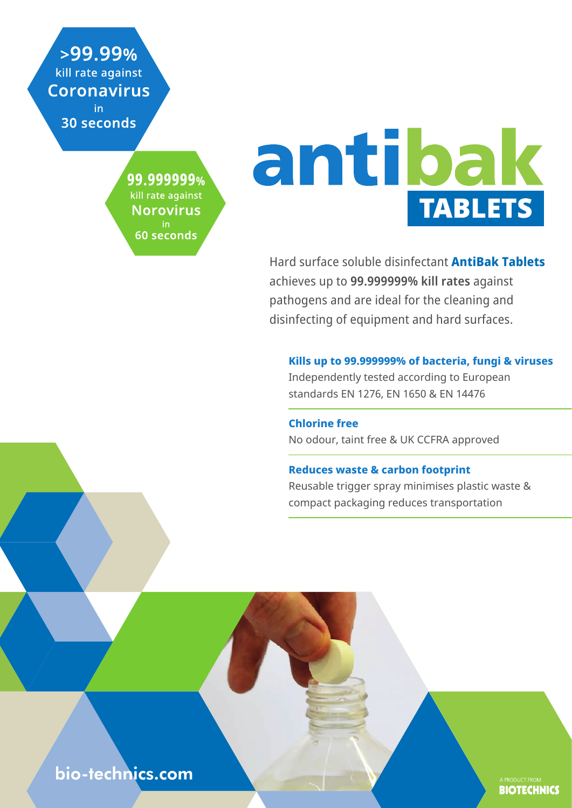$>99.99\%$ kill rate against **Coronavirus** in.

30 seconds

99.999999% kill rate against **Norovirus** in 60 seconds

# antibak **TABLETS**

Hard surface soluble disinfectant **AntiBak Tablets** achieves up to **99.999999% kill rates** against pathogens and are ideal for the cleaning and disinfecting of equipment and hard surfaces.

#### **Kills up to 99.999999% of bacteria, fungi & viruses**

Independently tested according to European standards EN 1276, EN 1650 & EN 14476

**Chlorine free** No odour, taint free & UK CCFRA approved

#### **Reduces waste & carbon footprint**

Reusable trigger spray minimises plastic waste & compact packaging reduces transportation

**BIOTECHNICS** 

bio-technics.com